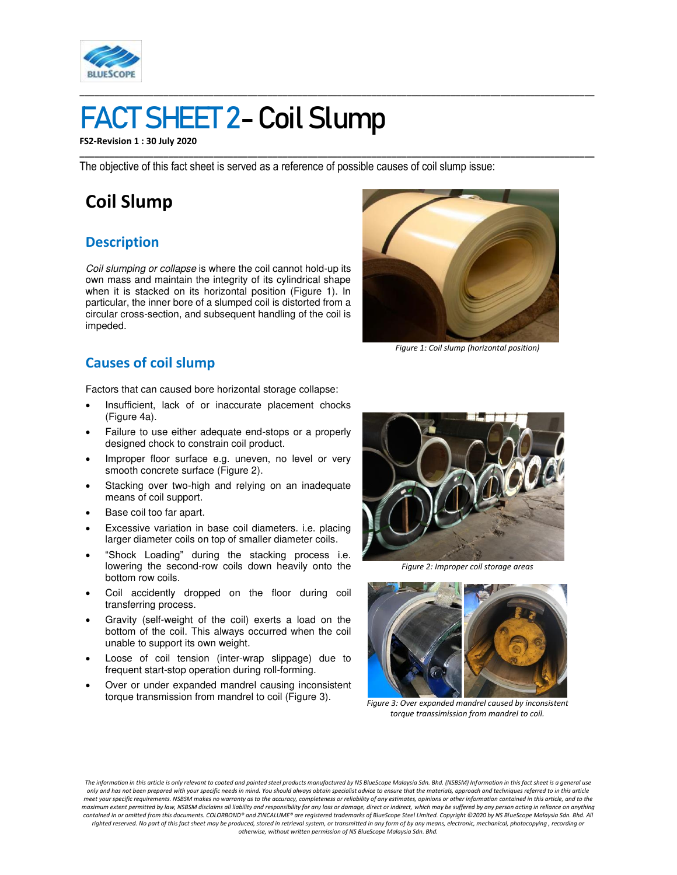

# FACT SHEET 2- Coil Slump

**FS2-Revision 1 : 30 July 2020** 

The objective of this fact sheet is served as a reference of possible causes of coil slump issue:

**\_\_\_\_\_\_\_\_\_\_\_\_\_\_\_\_\_\_\_\_\_\_\_\_\_\_\_\_\_\_\_\_\_\_\_\_\_\_\_\_\_\_\_\_\_\_\_\_\_\_\_\_\_\_\_\_\_\_\_\_\_\_\_\_\_\_\_\_\_\_\_\_\_\_\_\_\_\_\_\_\_\_\_\_\_\_\_\_\_\_\_\_\_\_\_\_\_\_\_\_\_\_\_\_** 

**\_\_\_\_\_\_\_\_\_\_\_\_\_\_\_\_\_\_\_\_\_\_\_\_\_\_\_\_\_\_\_\_\_\_\_\_\_\_\_\_\_\_\_\_\_\_\_\_\_\_\_\_\_\_\_\_\_\_\_\_\_\_\_\_\_\_\_\_\_\_\_\_\_\_\_\_\_\_\_\_\_\_\_\_\_\_\_\_\_\_\_\_\_\_\_\_\_\_\_\_\_\_\_\_** 

## **Coil Slump**

#### **Description**

*Coil slumping or collapse* is where the coil cannot hold-up its own mass and maintain the integrity of its cylindrical shape when it is stacked on its horizontal position (Figure 1). In particular, the inner bore of a slumped coil is distorted from a circular cross-section, and subsequent handling of the coil is impeded.



*Figure 1: Coil slump (horizontal position)* 

### **Causes of coil slump**

Factors that can caused bore horizontal storage collapse:

- Insufficient, lack of or inaccurate placement chocks (Figure 4a).
- Failure to use either adequate end-stops or a properly designed chock to constrain coil product.
- Improper floor surface e.g. uneven, no level or very smooth concrete surface (Figure 2).
- Stacking over two-high and relying on an inadequate means of coil support.
- Base coil too far apart.
- Excessive variation in base coil diameters. i.e. placing larger diameter coils on top of smaller diameter coils.
- "Shock Loading" during the stacking process i.e. lowering the second-row coils down heavily onto the bottom row coils.
- Coil accidently dropped on the floor during coil transferring process.
- Gravity (self-weight of the coil) exerts a load on the bottom of the coil. This always occurred when the coil unable to support its own weight.
- Loose of coil tension (inter-wrap slippage) due to frequent start-stop operation during roll-forming.
- Over or under expanded mandrel causing inconsistent torque transmission from mandrel to coil (Figure 3).



*Figure 2: Improper coil storage areas* 



*Figure 3: Over expanded mandrel caused by inconsistent torque transsimission from mandrel to coil.*

*The information in this article is only relevant to coated and painted steel products manufactured by NS BlueScope Malaysia Sdn. Bhd. (NSBSM) Information in this fact sheet is a general use only and has not been prepared with your specific needs in mind. You should always obtain specialist advice to ensure that the materials, approach and techniques referred to in this article meet your specific requirements. NSBSM makes no warranty as to the accuracy, completeness or reliability of any estimates, opinions or other information contained in this article, and to the maximum extent permitted by law, NSBSM disclaims all liability and responsibility for any loss or damage, direct or indirect, which may be suffered by any person acting in reliance on anything*  contained in or omitted from this documents. COLORBOND® and ZINCALUME® are registered trademarks of BlueScope Steel Limited. Copyright ©2020 by NS BlueScope Malaysia Sdn. Bhd. All<br>righted reserved. No part of this fact she *otherwise, without written permission of NS BlueScope Malaysia Sdn. Bhd.*